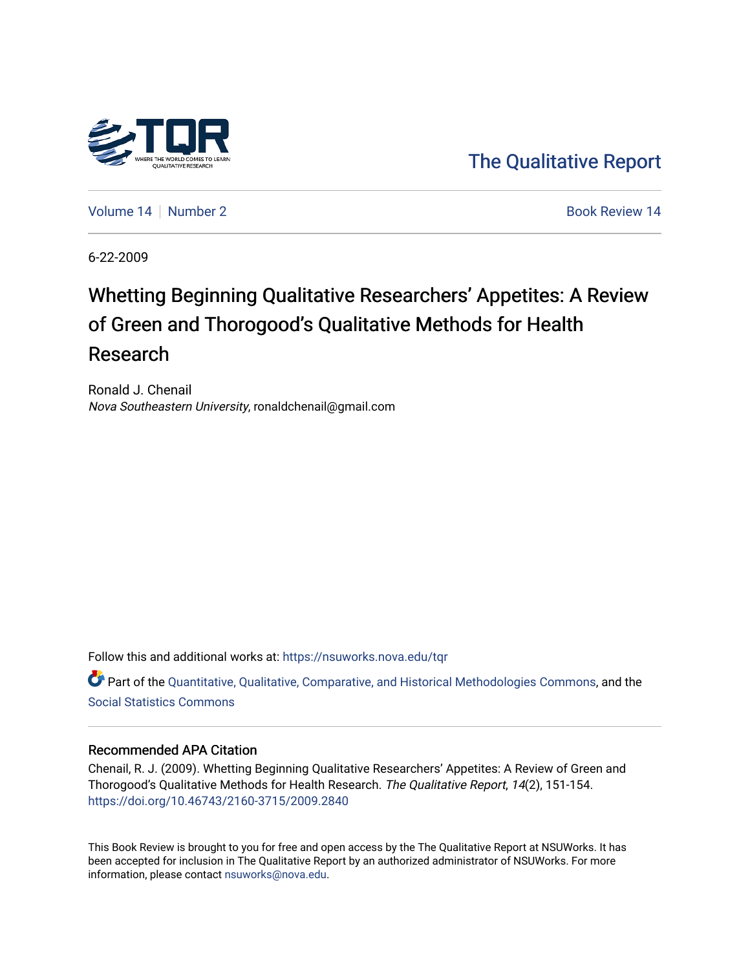

[The Qualitative Report](https://nsuworks.nova.edu/tqr) 

[Volume 14](https://nsuworks.nova.edu/tqr/vol14) | [Number 2](https://nsuworks.nova.edu/tqr/vol14/iss2) Book Review 14

6-22-2009

# Whetting Beginning Qualitative Researchers' Appetites: A Review of Green and Thorogood's Qualitative Methods for Health Research

Ronald J. Chenail Nova Southeastern University, ronaldchenail@gmail.com

Follow this and additional works at: [https://nsuworks.nova.edu/tqr](https://nsuworks.nova.edu/tqr?utm_source=nsuworks.nova.edu%2Ftqr%2Fvol14%2Fiss2%2F14&utm_medium=PDF&utm_campaign=PDFCoverPages) 

Part of the [Quantitative, Qualitative, Comparative, and Historical Methodologies Commons,](http://network.bepress.com/hgg/discipline/423?utm_source=nsuworks.nova.edu%2Ftqr%2Fvol14%2Fiss2%2F14&utm_medium=PDF&utm_campaign=PDFCoverPages) and the [Social Statistics Commons](http://network.bepress.com/hgg/discipline/1275?utm_source=nsuworks.nova.edu%2Ftqr%2Fvol14%2Fiss2%2F14&utm_medium=PDF&utm_campaign=PDFCoverPages) 

### Recommended APA Citation

Chenail, R. J. (2009). Whetting Beginning Qualitative Researchers' Appetites: A Review of Green and Thorogood's Qualitative Methods for Health Research. The Qualitative Report, 14(2), 151-154. <https://doi.org/10.46743/2160-3715/2009.2840>

This Book Review is brought to you for free and open access by the The Qualitative Report at NSUWorks. It has been accepted for inclusion in The Qualitative Report by an authorized administrator of NSUWorks. For more information, please contact [nsuworks@nova.edu.](mailto:nsuworks@nova.edu)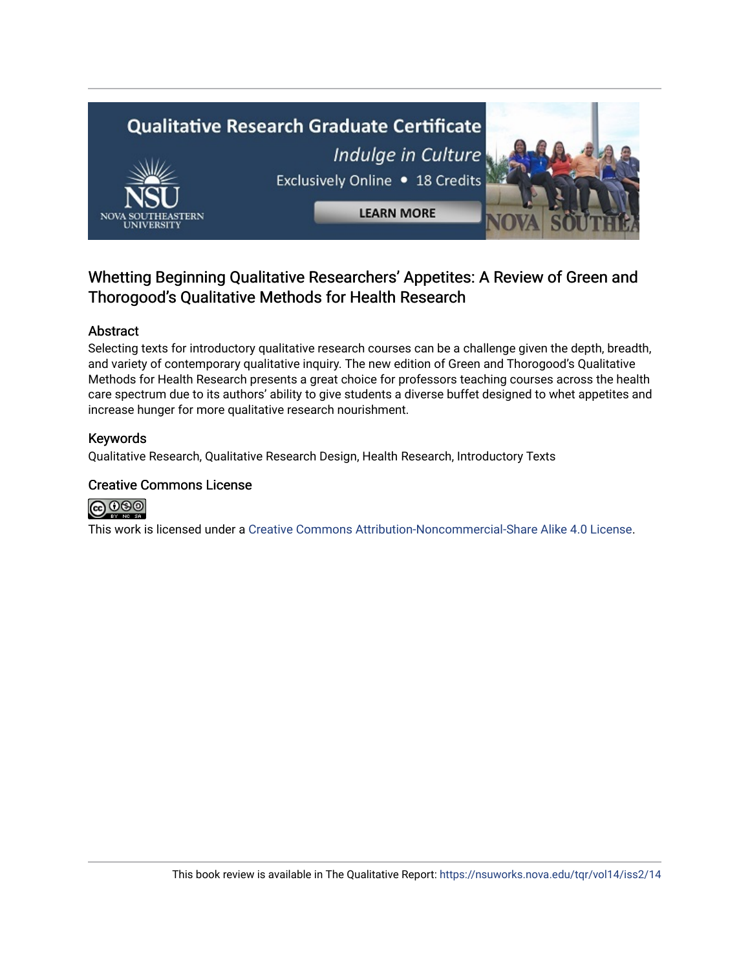

# Whetting Beginning Qualitative Researchers' Appetites: A Review of Green and Thorogood's Qualitative Methods for Health Research

### Abstract

Selecting texts for introductory qualitative research courses can be a challenge given the depth, breadth, and variety of contemporary qualitative inquiry. The new edition of Green and Thorogood's Qualitative Methods for Health Research presents a great choice for professors teaching courses across the health care spectrum due to its authors' ability to give students a diverse buffet designed to whet appetites and increase hunger for more qualitative research nourishment.

### Keywords

Qualitative Research, Qualitative Research Design, Health Research, Introductory Texts

### Creative Commons License



This work is licensed under a [Creative Commons Attribution-Noncommercial-Share Alike 4.0 License](https://creativecommons.org/licenses/by-nc-sa/4.0/).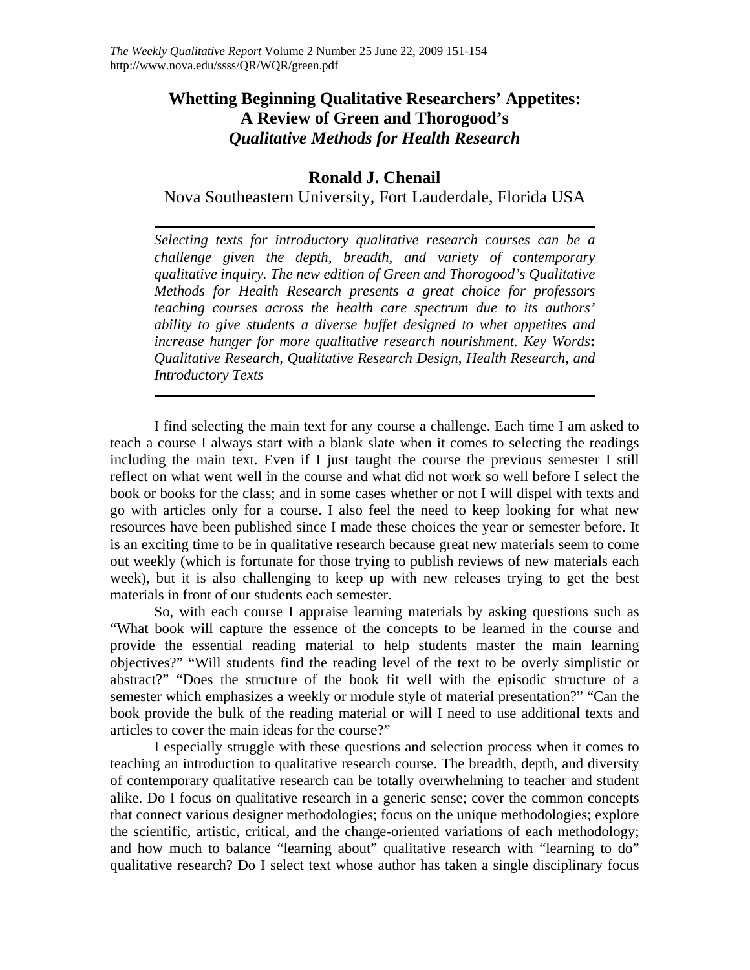# **Whetting Beginning Qualitative Researchers' Appetites: A Review of Green and Thorogood's** *Qualitative Methods for Health Research*

## **Ronald J. Chenail**

Nova Southeastern University, Fort Lauderdale, Florida USA

*Selecting texts for introductory qualitative research courses can be a challenge given the depth, breadth, and variety of contemporary qualitative inquiry. The new edition of Green and Thorogood's Qualitative Methods for Health Research presents a great choice for professors teaching courses across the health care spectrum due to its authors' ability to give students a diverse buffet designed to whet appetites and increase hunger for more qualitative research nourishment. Key Words***:**  *Qualitative Research, Qualitative Research Design, Health Research, and Introductory Texts* 

I find selecting the main text for any course a challenge. Each time I am asked to teach a course I always start with a blank slate when it comes to selecting the readings including the main text. Even if I just taught the course the previous semester I still reflect on what went well in the course and what did not work so well before I select the book or books for the class; and in some cases whether or not I will dispel with texts and go with articles only for a course. I also feel the need to keep looking for what new resources have been published since I made these choices the year or semester before. It is an exciting time to be in qualitative research because great new materials seem to come out weekly (which is fortunate for those trying to publish reviews of new materials each week), but it is also challenging to keep up with new releases trying to get the best materials in front of our students each semester.

So, with each course I appraise learning materials by asking questions such as "What book will capture the essence of the concepts to be learned in the course and provide the essential reading material to help students master the main learning objectives?" "Will students find the reading level of the text to be overly simplistic or abstract?" "Does the structure of the book fit well with the episodic structure of a semester which emphasizes a weekly or module style of material presentation?" "Can the book provide the bulk of the reading material or will I need to use additional texts and articles to cover the main ideas for the course?"

I especially struggle with these questions and selection process when it comes to teaching an introduction to qualitative research course. The breadth, depth, and diversity of contemporary qualitative research can be totally overwhelming to teacher and student alike. Do I focus on qualitative research in a generic sense; cover the common concepts that connect various designer methodologies; focus on the unique methodologies; explore the scientific, artistic, critical, and the change-oriented variations of each methodology; and how much to balance "learning about" qualitative research with "learning to do" qualitative research? Do I select text whose author has taken a single disciplinary focus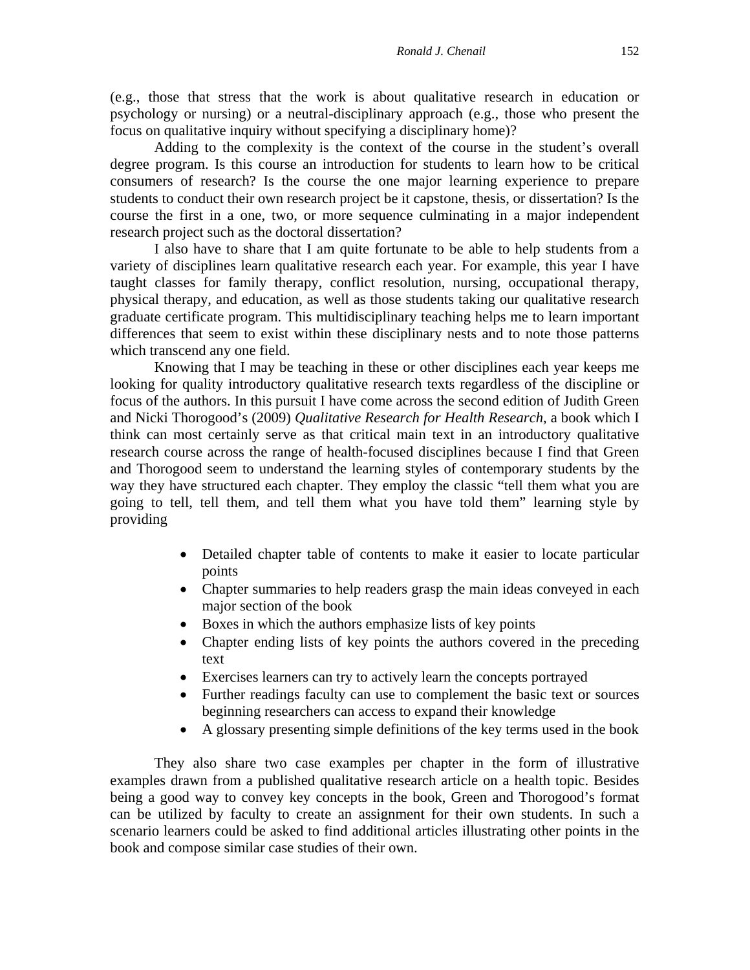(e.g., those that stress that the work is about qualitative research in education or psychology or nursing) or a neutral-disciplinary approach (e.g., those who present the focus on qualitative inquiry without specifying a disciplinary home)?

Adding to the complexity is the context of the course in the student's overall degree program. Is this course an introduction for students to learn how to be critical consumers of research? Is the course the one major learning experience to prepare students to conduct their own research project be it capstone, thesis, or dissertation? Is the course the first in a one, two, or more sequence culminating in a major independent research project such as the doctoral dissertation?

I also have to share that I am quite fortunate to be able to help students from a variety of disciplines learn qualitative research each year. For example, this year I have taught classes for family therapy, conflict resolution, nursing, occupational therapy, physical therapy, and education, as well as those students taking our qualitative research graduate certificate program. This multidisciplinary teaching helps me to learn important differences that seem to exist within these disciplinary nests and to note those patterns which transcend any one field.

Knowing that I may be teaching in these or other disciplines each year keeps me looking for quality introductory qualitative research texts regardless of the discipline or focus of the authors. In this pursuit I have come across the second edition of Judith Green and Nicki Thorogood's (2009) *Qualitative Research for Health Research*, a book which I think can most certainly serve as that critical main text in an introductory qualitative research course across the range of health-focused disciplines because I find that Green and Thorogood seem to understand the learning styles of contemporary students by the way they have structured each chapter. They employ the classic "tell them what you are going to tell, tell them, and tell them what you have told them" learning style by providing

- Detailed chapter table of contents to make it easier to locate particular points
- Chapter summaries to help readers grasp the main ideas conveyed in each major section of the book
- Boxes in which the authors emphasize lists of key points
- Chapter ending lists of key points the authors covered in the preceding text
- Exercises learners can try to actively learn the concepts portrayed
- Further readings faculty can use to complement the basic text or sources beginning researchers can access to expand their knowledge
- A glossary presenting simple definitions of the key terms used in the book

They also share two case examples per chapter in the form of illustrative examples drawn from a published qualitative research article on a health topic. Besides being a good way to convey key concepts in the book, Green and Thorogood's format can be utilized by faculty to create an assignment for their own students. In such a scenario learners could be asked to find additional articles illustrating other points in the book and compose similar case studies of their own.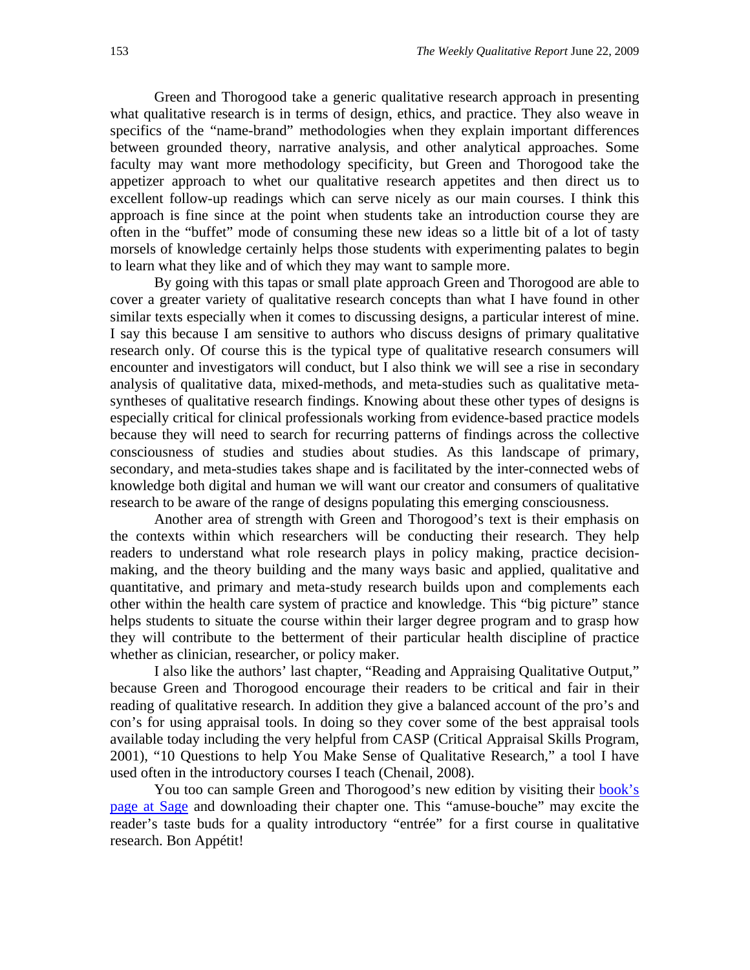Green and Thorogood take a generic qualitative research approach in presenting what qualitative research is in terms of design, ethics, and practice. They also weave in specifics of the "name-brand" methodologies when they explain important differences between grounded theory, narrative analysis, and other analytical approaches. Some faculty may want more methodology specificity, but Green and Thorogood take the appetizer approach to whet our qualitative research appetites and then direct us to excellent follow-up readings which can serve nicely as our main courses. I think this approach is fine since at the point when students take an introduction course they are often in the "buffet" mode of consuming these new ideas so a little bit of a lot of tasty morsels of knowledge certainly helps those students with experimenting palates to begin to learn what they like and of which they may want to sample more.

By going with this tapas or small plate approach Green and Thorogood are able to cover a greater variety of qualitative research concepts than what I have found in other similar texts especially when it comes to discussing designs, a particular interest of mine. I say this because I am sensitive to authors who discuss designs of primary qualitative research only. Of course this is the typical type of qualitative research consumers will encounter and investigators will conduct, but I also think we will see a rise in secondary analysis of qualitative data, mixed-methods, and meta-studies such as qualitative metasyntheses of qualitative research findings. Knowing about these other types of designs is especially critical for clinical professionals working from evidence-based practice models because they will need to search for recurring patterns of findings across the collective consciousness of studies and studies about studies. As this landscape of primary, secondary, and meta-studies takes shape and is facilitated by the inter-connected webs of knowledge both digital and human we will want our creator and consumers of qualitative research to be aware of the range of designs populating this emerging consciousness.

Another area of strength with Green and Thorogood's text is their emphasis on the contexts within which researchers will be conducting their research. They help readers to understand what role research plays in policy making, practice decisionmaking, and the theory building and the many ways basic and applied, qualitative and quantitative, and primary and meta-study research builds upon and complements each other within the health care system of practice and knowledge. This "big picture" stance helps students to situate the course within their larger degree program and to grasp how they will contribute to the betterment of their particular health discipline of practice whether as clinician, researcher, or policy maker.

I also like the authors' last chapter, "Reading and Appraising Qualitative Output," because Green and Thorogood encourage their readers to be critical and fair in their reading of qualitative research. In addition they give a balanced account of the pro's and con's for using appraisal tools. In doing so they cover some of the best appraisal tools available today including the very helpful from CASP (Critical Appraisal Skills Program, 2001), "10 Questions to help You Make Sense of Qualitative Research," a tool I have used often in the introductory courses I teach (Chenail, 2008).

You too can sample Green and Thorogood's new edition by visiting their book's [page at Sage](http://www.sagepub.com/booksProdSampleMaterials.nav?prodId=Book232301) and downloading their chapter one. This "amuse-bouche" may excite the reader's taste buds for a quality introductory "entrée" for a first course in qualitative research. Bon Appétit!